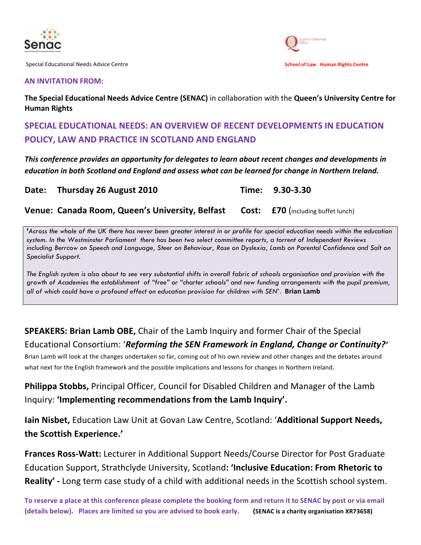

Special!Educational!Needs!Advice!Centre!!!!!!!!!!!!!!!!!!!!!!!!!!!!!!!!!!!!!!!!!!!!!!!!!!!!!!!!!!!!!!!!!!!!!!!!!!!!!!!!!!!!!!! !!!!!!!!!!!!!!!!!!!!!!!!**School&of&Law&& Human&Rights&Centre**



#### **AN INVITATION FROM:**

The Special Educational Needs Advice Centre (SENAC) in collaboration with the Queen's University Centre for **Human Rights** 

### SPECIAL EDUCATIONAL NEEDS: AN OVERVIEW OF RECENT DEVELOPMENTS IN EDUCATION **POLICY, LAW AND PRACTICE IN SCOTLAND AND ENGLAND**

*This conference provides an opportunity for delegates to learn about recent changes and developments in education%in%both%Scotland%and%England%and%assess%what%can%be%learned%for%change in%Northern%Ireland.*

|  | Date: Thursday 26 August 2010 |  | Time: 9.30-3.30 |
|--|-------------------------------|--|-----------------|
|--|-------------------------------|--|-----------------|

**Venue: Canada Room, Queen's University, Belfast Cost: £70 (including buffet lunch)** 

*'Across the whole of the UK there has never been greater interest in or profile for special education needs within the education system. In the Westminster Parliament there has been two select committee reports, a torrent of Independent Reviews including Berrcow on Speech and Language, Steer on Behaviour, Rose on Dyslexia, Lamb on Parental Confidence and Salt on Specialist Support.*

*The English system is also about to see very substantial shifts in overall fabric of schools organisation and provision with the growth of Academies the establishment of "free" or "charter schools" and new funding arrangements with the pupil premium, all of which could have a profound effect on education provision for children with SEN'*.! **Brian&Lamb**

## **SPEAKERS: Brian Lamb OBE,** Chair of the Lamb Inquiry and former Chair of the Special Educational Consortium: '*Reforming the SEN Framework in England, Change or Continuity?'*

Brian Lamb will look at the changes undertaken so far, coming out of his own review and other changes and the debates around what next for the English framework and the possible implications and lessons for changes in Northern Ireland.

**Philippa Stobbs,** Principal Officer, Council for Disabled Children and Manager of the Lamb Inquiry: 'Implementing recommendations from the Lamb Inquiry'.

**Iain Nisbet, Education Law Unit at Govan Law Centre, Scotland: 'Additional Support Needs, the Scottish Experience.'** 

**Frances Ross-Watt:** Lecturer in Additional Support Needs/Course Director for Post Graduate Education Support, Strathclyde University, Scotland: 'Inclusive Education: From Rhetoric to **Reality'** - Long term case study of a child with additional needs in the Scottish school system.

To reserve a place at this conference please complete the booking form and return it to SENAC by post or via email (details below). Places are limited so you are advised to book early. (SENAC is a charity organisation XR73658)